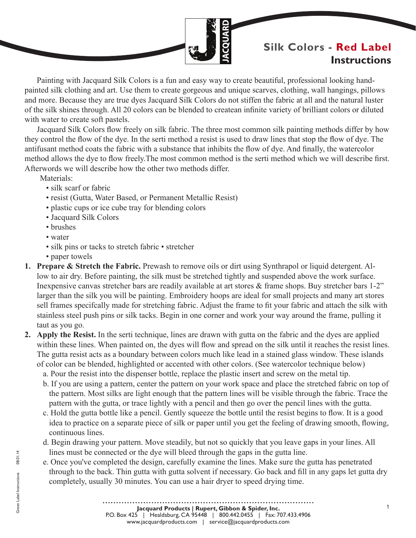

# **Silk Colors - Red Label Instructions**

Painting with Jacquard Silk Colors is a fun and easy way to create beautiful, professional looking handpainted silk clothing and art. Use them to create gorgeous and unique scarves, clothing, wall hangings, pillows and more. Because they are true dyes Jacquard Silk Colors do not stiffen the fabric at all and the natural luster of the silk shines through. All 20 colors can be blended to createan infinite variety of brilliant colors or diluted with water to create soft pastels.

Jacquard Silk Colors flow freely on silk fabric. The three most common silk painting methods differ by how they control the flow of the dye. In the serti method a resist is used to draw lines that stop the flow of dye. The antifusant method coats the fabric with a substance that inhibits the flow of dye. And finally, the watercolor method allows the dye to flow freely.The most common method is the serti method which we will describe first. Afterwords we will describe how the other two methods differ.

Materials<sup>.</sup>

- silk scarf or fabric
- resist (Gutta, Water Based, or Permanent Metallic Resist)
- plastic cups or ice cube tray for blending colors
- Jacquard Silk Colors
- brushes
- water
- silk pins or tacks to stretch fabric stretcher
- paper towels
- **1. Prepare & Stretch the Fabric.** Prewash to remove oils or dirt using Synthrapol or liquid detergent. Allow to air dry. Before painting, the silk must be stretched tightly and suspended above the work surface. Inexpensive canvas stretcher bars are readily available at art stores & frame shops. Buy stretcher bars 1-2" larger than the silk you will be painting. Embroidery hoops are ideal for small projects and many art stores sell frames specifcally made for stretching fabric. Adjust the frame to fit your fabric and attach the silk with stainless steel push pins or silk tacks. Begin in one corner and work your way around the frame, pulling it taut as you go.
- **2. Apply the Resist.** In the serti technique, lines are drawn with gutta on the fabric and the dyes are applied within these lines. When painted on, the dyes will flow and spread on the silk until it reaches the resist lines. The gutta resist acts as a boundary between colors much like lead in a stained glass window. These islands of color can be blended, highlighted or accented with other colors. (See watercolor technique below)
	- a. Pour the resist into the dispenser bottle, replace the plastic insert and screw on the metal tip.
	- b. If you are using a pattern, center the pattern on your work space and place the stretched fabric on top of the pattern. Most silks are light enough that the pattern lines will be visible through the fabric. Trace the pattern with the gutta, or trace lightly with a pencil and then go over the pencil lines with the gutta.
	- c. Hold the gutta bottle like a pencil. Gently squeeze the bottle until the resist begins to flow. It is a good idea to practice on a separate piece of silk or paper until you get the feeling of drawing smooth, flowing, continuous lines.
	- d. Begin drawing your pattern. Move steadily, but not so quickly that you leave gaps in your lines. All lines must be connected or the dye will bleed through the gaps in the gutta line.
	- e. Once you've completed the design, carefully examine the lines. Make sure the gutta has penetrated through to the back. Thin gutta with gutta solvent if necessary. Go back and fill in any gaps let gutta dry completely, usually 30 minutes. You can use a hair dryer to speed drying time.

1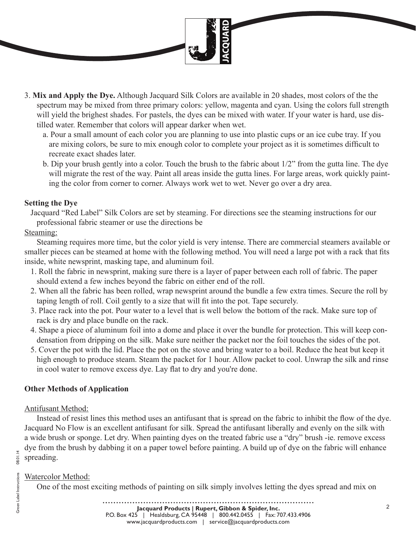

- 3. **Mix and Apply the Dye.** Although Jacquard Silk Colors are available in 20 shades, most colors of the the spectrum may be mixed from three primary colors: yellow, magenta and cyan. Using the colors full strength will yield the brighest shades. For pastels, the dyes can be mixed with water. If your water is hard, use distilled water. Remember that colors will appear darker when wet.
	- a. Pour a small amount of each color you are planning to use into plastic cups or an ice cube tray. If you are mixing colors, be sure to mix enough color to complete your project as it is sometimes difficult to recreate exact shades later.
	- b. Dip your brush gently into a color. Touch the brush to the fabric about 1/2" from the gutta line. The dye will migrate the rest of the way. Paint all areas inside the gutta lines. For large areas, work quickly painting the color from corner to corner. Always work wet to wet. Never go over a dry area.

#### **Setting the Dye**

Jacquard "Red Label" Silk Colors are set by steaming. For directions see the steaming instructions for our professional fabric steamer or use the directions be

## Steaming:

Steaming requires more time, but the color yield is very intense. There are commercial steamers available or smaller pieces can be steamed at home with the following method. You will need a large pot with a rack that fits inside, white newsprint, masking tape, and aluminum foil.

- 1. Roll the fabric in newsprint, making sure there is a layer of paper between each roll of fabric. The paper should extend a few inches beyond the fabric on either end of the roll.
- 2. When all the fabric has been rolled, wrap newsprint around the bundle a few extra times. Secure the roll by taping length of roll. Coil gently to a size that will fit into the pot. Tape securely.
- 3. Place rack into the pot. Pour water to a level that is well below the bottom of the rack. Make sure top of rack is dry and place bundle on the rack.
- 4. Shape a piece of aluminum foil into a dome and place it over the bundle for protection. This will keep condensation from dripping on the silk. Make sure neither the packet nor the foil touches the sides of the pot.
- 5. Cover the pot with the lid. Place the pot on the stove and bring water to a boil. Reduce the heat but keep it high enough to produce steam. Steam the packet for 1 hour. Allow packet to cool. Unwrap the silk and rinse in cool water to remove excess dye. Lay flat to dry and you're done.

## **Other Methods of Application**

## Antifusant Method:

Instead of resist lines this method uses an antifusant that is spread on the fabric to inhibit the flow of the dye. Jacquard No Flow is an excellent antifusant for silk. Spread the antifusant liberally and evenly on the silk with a wide brush or sponge. Let dry. When painting dyes on the treated fabric use a "dry" brush -ie. remove excess dye from the brush by dabbing it on a paper towel before painting. A build up of dye on the fabric will enhance spreading.

## Watercolor Method:

One of the most exciting methods of painting on silk simply involves letting the dyes spread and mix on